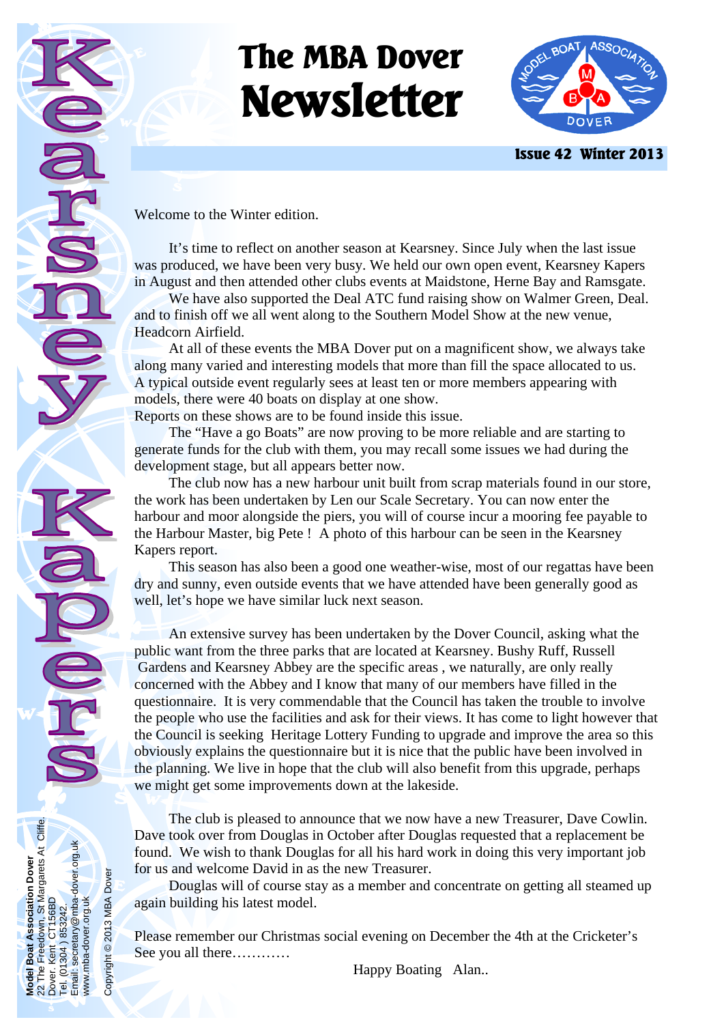# **The MBA Dover Newsletter**



 **Issue 42 Winter 2013** 

Welcome to the Winter edition.

**Model Boat Association Dover**  22 The Freedown, St Margarets At Cliffe.

Boat / The<sub>1</sub> Model<br>22 The<br>Dover

Boat Association Dover<br>Freedown, St Margarets At Cliffe.<br>Kent CT156BD

Dover. Kent CT156BD Tel. (01304 ) 853242.

 $\bar{\mathsf{S}}$ Email: **lei** 

Email: secretary@mba-dover.org.uk

1304 ) 853242.<br>1304 ) 853242.<br>secretary@mba-dover.org.uk

www.mba-dover.org.uk

www.mba-dover.org.uk

Copyright © 2013 MBA Dover

Copyright © 2013 MBA Dover

 It's time to reflect on another season at Kearsney. Since July when the last issue was produced, we have been very busy. We held our own open event, Kearsney Kapers in August and then attended other clubs events at Maidstone, Herne Bay and Ramsgate.

 We have also supported the Deal ATC fund raising show on Walmer Green, Deal. and to finish off we all went along to the Southern Model Show at the new venue, Headcorn Airfield.

 At all of these events the MBA Dover put on a magnificent show, we always take along many varied and interesting models that more than fill the space allocated to us. A typical outside event regularly sees at least ten or more members appearing with models, there were 40 boats on display at one show.

Reports on these shows are to be found inside this issue.

 The "Have a go Boats" are now proving to be more reliable and are starting to generate funds for the club with them, you may recall some issues we had during the development stage, but all appears better now.

 The club now has a new harbour unit built from scrap materials found in our store, the work has been undertaken by Len our Scale Secretary. You can now enter the harbour and moor alongside the piers, you will of course incur a mooring fee payable to the Harbour Master, big Pete ! A photo of this harbour can be seen in the Kearsney Kapers report.

 This season has also been a good one weather-wise, most of our regattas have been dry and sunny, even outside events that we have attended have been generally good as well, let's hope we have similar luck next season.

 An extensive survey has been undertaken by the Dover Council, asking what the public want from the three parks that are located at Kearsney. Bushy Ruff, Russell Gardens and Kearsney Abbey are the specific areas , we naturally, are only really concerned with the Abbey and I know that many of our members have filled in the questionnaire. It is very commendable that the Council has taken the trouble to involve the people who use the facilities and ask for their views. It has come to light however that the Council is seeking Heritage Lottery Funding to upgrade and improve the area so this obviously explains the questionnaire but it is nice that the public have been involved in the planning. We live in hope that the club will also benefit from this upgrade, perhaps we might get some improvements down at the lakeside.

 The club is pleased to announce that we now have a new Treasurer, Dave Cowlin. Dave took over from Douglas in October after Douglas requested that a replacement be found. We wish to thank Douglas for all his hard work in doing this very important job for us and welcome David in as the new Treasurer.

 Douglas will of course stay as a member and concentrate on getting all steamed up again building his latest model.

Please remember our Christmas social evening on December the 4th at the Cricketer's See you all there…………

Happy Boating Alan..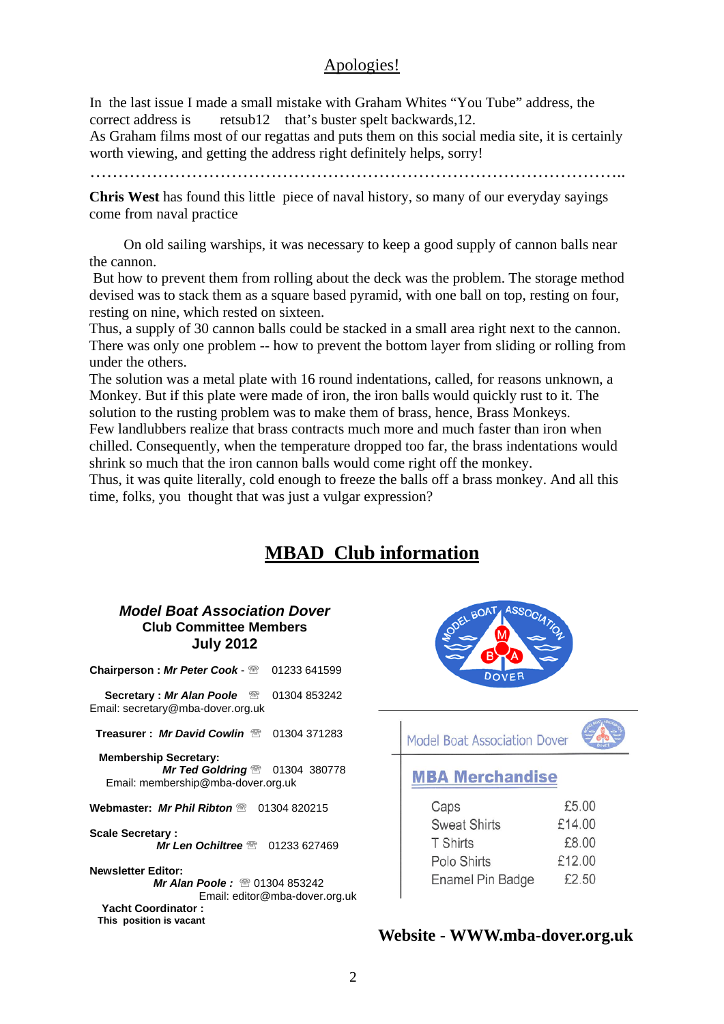#### Apologies!

In the last issue I made a small mistake with Graham Whites "You Tube" address, the correct address is retsub12 that's buster spelt backwards,12.

As Graham films most of our regattas and puts them on this social media site, it is certainly worth viewing, and getting the address right definitely helps, sorry!

…………………………………………………………………………………..

**Chris West** has found this little piece of naval history, so many of our everyday sayings come from naval practice

 On old sailing warships, it was necessary to keep a good supply of cannon balls near the cannon.

 But how to prevent them from rolling about the deck was the problem. The storage method devised was to stack them as a square based pyramid, with one ball on top, resting on four, resting on nine, which rested on sixteen.

Thus, a supply of 30 cannon balls could be stacked in a small area right next to the cannon. There was only one problem -- how to prevent the bottom layer from sliding or rolling from under the others.

The solution was a metal plate with 16 round indentations, called, for reasons unknown, a Monkey. But if this plate were made of iron, the iron balls would quickly rust to it. The solution to the rusting problem was to make them of brass, hence, Brass Monkeys. Few landlubbers realize that brass contracts much more and much faster than iron when chilled. Consequently, when the temperature dropped too far, the brass indentations would shrink so much that the iron cannon balls would come right off the monkey.

Thus, it was quite literally, cold enough to freeze the balls off a brass monkey. And all this time, folks, you thought that was just a vulgar expression?

## **MBAD Club information**

#### *Model Boat Association Dover*  **Club Committee Members July 2012**

| Chairperson: Mr Peter Cook - <sup>2</sup> 01233 641599 |  |
|--------------------------------------------------------|--|
|--------------------------------------------------------|--|

**Secretary : Mr Alan Poole** 2 01304 853242 Email: secretary@mba-dover.org.uk

**Treasurer : Mr David Cowlin 2008** 01304 371283

 **Membership Secretary:**  *Mr Ted Goldring* <sup>2</sup> 01304 380778 Email: membership@mba-dover.org.uk

**Webmaster:** *Mr Phil Ribton* <sup>@</sup> 01304 820215

**Scale Secretary :**  *Mr Len Ochiltree* <sup>2</sup> 01233 627469

**Newsletter Editor:**  *Mr Alan Poole:* <sup>2</sup> 01304 853242 Email: editor@mba-dover.org.uk  **Yacht Coordinator : This position is vacant** 



Model Boat Association Dover



### **MBA Merchandise**

| Caps                | £5.00  |
|---------------------|--------|
| <b>Sweat Shirts</b> | £14.00 |
| <b>T</b> Shirts     | £8.00  |
| Polo Shirts         | £12.00 |
| Enamel Pin Badge    | £2.50  |

#### **Website - WWW.mba-dover.org.uk**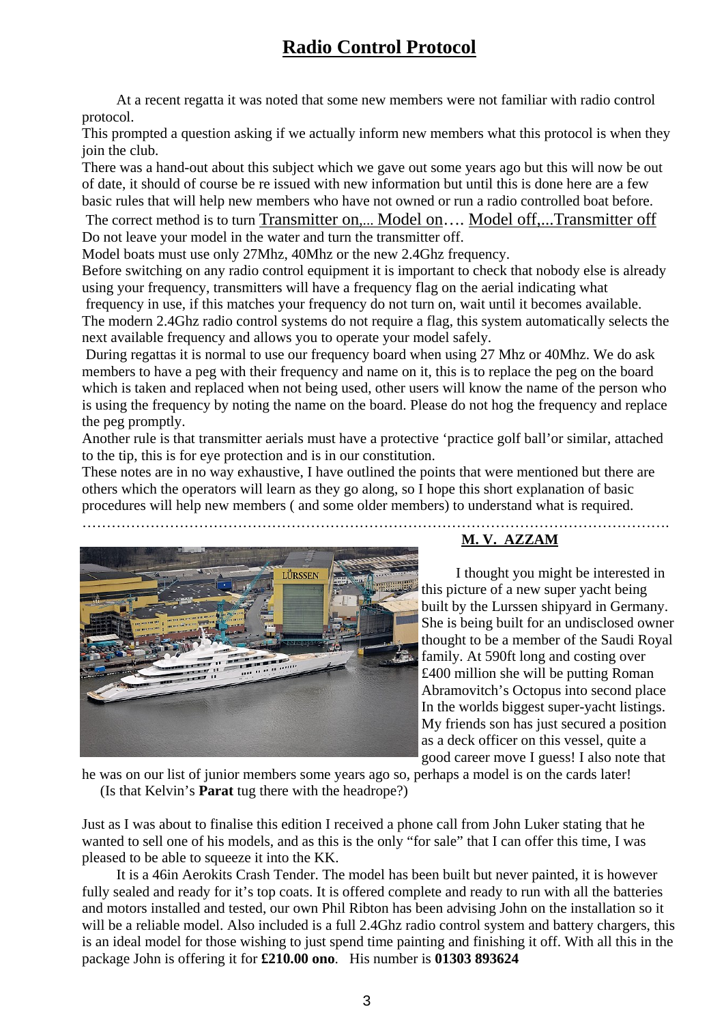# **Radio Control Protocol**

 At a recent regatta it was noted that some new members were not familiar with radio control protocol.

This prompted a question asking if we actually inform new members what this protocol is when they join the club.

There was a hand-out about this subject which we gave out some years ago but this will now be out of date, it should of course be re issued with new information but until this is done here are a few basic rules that will help new members who have not owned or run a radio controlled boat before.

 The correct method is to turn Transmitter on,... Model on…. Model off,...Transmitter off Do not leave your model in the water and turn the transmitter off.

Model boats must use only 27Mhz, 40Mhz or the new 2.4Ghz frequency.

Before switching on any radio control equipment it is important to check that nobody else is already using your frequency, transmitters will have a frequency flag on the aerial indicating what frequency in use, if this matches your frequency do not turn on, wait until it becomes available. The modern 2.4Ghz radio control systems do not require a flag, this system automatically selects the

next available frequency and allows you to operate your model safely.

 During regattas it is normal to use our frequency board when using 27 Mhz or 40Mhz. We do ask members to have a peg with their frequency and name on it, this is to replace the peg on the board which is taken and replaced when not being used, other users will know the name of the person who is using the frequency by noting the name on the board. Please do not hog the frequency and replace the peg promptly.

Another rule is that transmitter aerials must have a protective 'practice golf ball'or similar, attached to the tip, this is for eye protection and is in our constitution.

These notes are in no way exhaustive, I have outlined the points that were mentioned but there are others which the operators will learn as they go along, so I hope this short explanation of basic procedures will help new members ( and some older members) to understand what is required.



#### ………………………………………………………………………………………………………….  **M. V. AZZAM**

 I thought you might be interested in this picture of a new super yacht being built by the Lurssen shipyard in Germany. She is being built for an undisclosed owner thought to be a member of the Saudi Royal family. At 590ft long and costing over £400 million she will be putting Roman Abramovitch's Octopus into second place In the worlds biggest super-yacht listings. My friends son has just secured a position as a deck officer on this vessel, quite a good career move I guess! I also note that

he was on our list of junior members some years ago so, perhaps a model is on the cards later! (Is that Kelvin's **Parat** tug there with the headrope?)

Just as I was about to finalise this edition I received a phone call from John Luker stating that he wanted to sell one of his models, and as this is the only "for sale" that I can offer this time, I was pleased to be able to squeeze it into the KK.

 It is a 46in Aerokits Crash Tender. The model has been built but never painted, it is however fully sealed and ready for it's top coats. It is offered complete and ready to run with all the batteries and motors installed and tested, our own Phil Ribton has been advising John on the installation so it will be a reliable model. Also included is a full 2.4Ghz radio control system and battery chargers, this is an ideal model for those wishing to just spend time painting and finishing it off. With all this in the package John is offering it for **£210.00 ono**. His number is **01303 893624**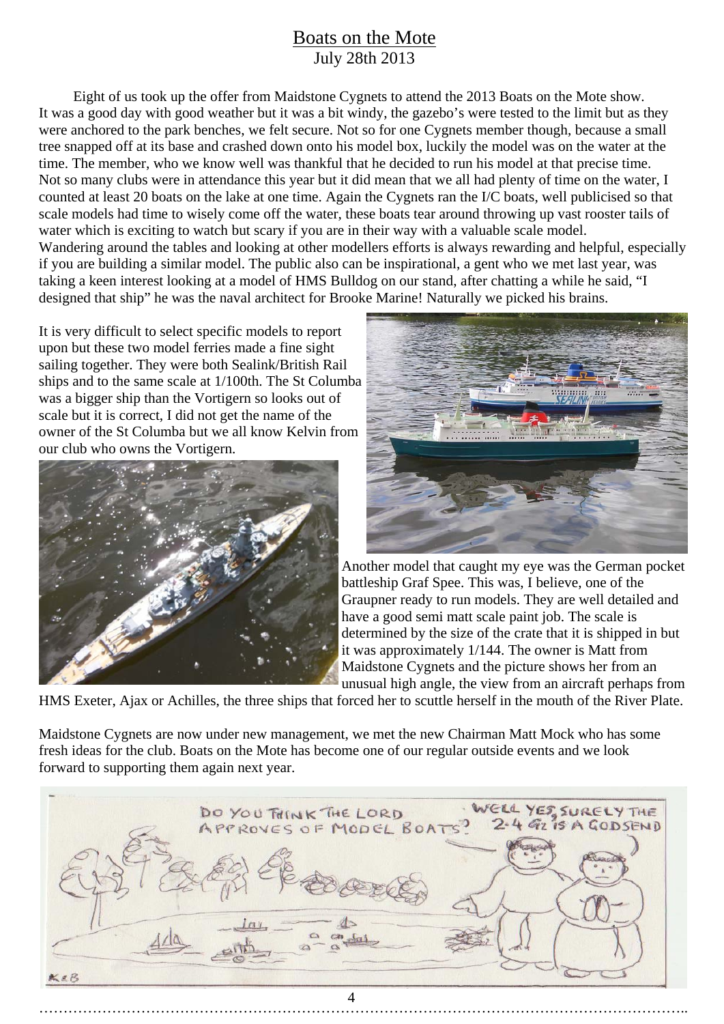## Boats on the Mote July 28th 2013

 Eight of us took up the offer from Maidstone Cygnets to attend the 2013 Boats on the Mote show. It was a good day with good weather but it was a bit windy, the gazebo's were tested to the limit but as they were anchored to the park benches, we felt secure. Not so for one Cygnets member though, because a small tree snapped off at its base and crashed down onto his model box, luckily the model was on the water at the time. The member, who we know well was thankful that he decided to run his model at that precise time. Not so many clubs were in attendance this year but it did mean that we all had plenty of time on the water, I counted at least 20 boats on the lake at one time. Again the Cygnets ran the I/C boats, well publicised so that scale models had time to wisely come off the water, these boats tear around throwing up vast rooster tails of water which is exciting to watch but scary if you are in their way with a valuable scale model. Wandering around the tables and looking at other modellers efforts is always rewarding and helpful, especially if you are building a similar model. The public also can be inspirational, a gent who we met last year, was taking a keen interest looking at a model of HMS Bulldog on our stand, after chatting a while he said, "I designed that ship" he was the naval architect for Brooke Marine! Naturally we picked his brains.

It is very difficult to select specific models to report upon but these two model ferries made a fine sight sailing together. They were both Sealink/British Rail ships and to the same scale at 1/100th. The St Columba was a bigger ship than the Vortigern so looks out of scale but it is correct, I did not get the name of the owner of the St Columba but we all know Kelvin from our club who owns the Vortigern.





Another model that caught my eye was the German pocket battleship Graf Spee. This was, I believe, one of the Graupner ready to run models. They are well detailed and have a good semi matt scale paint job. The scale is determined by the size of the crate that it is shipped in but it was approximately 1/144. The owner is Matt from Maidstone Cygnets and the picture shows her from an unusual high angle, the view from an aircraft perhaps from

HMS Exeter, Ajax or Achilles, the three ships that forced her to scuttle herself in the mouth of the River Plate.

Maidstone Cygnets are now under new management, we met the new Chairman Matt Mock who has some fresh ideas for the club. Boats on the Mote has become one of our regular outside events and we look forward to supporting them again next year.

|     | DO YOU THINK THE LORD<br>APPROVES OF MODEL BOATS? | WELL YES SURELY THE |
|-----|---------------------------------------------------|---------------------|
|     |                                                   |                     |
|     |                                                   |                     |
|     |                                                   |                     |
| KEB |                                                   |                     |
|     |                                                   |                     |

……………………………………………………………………………………………………………………..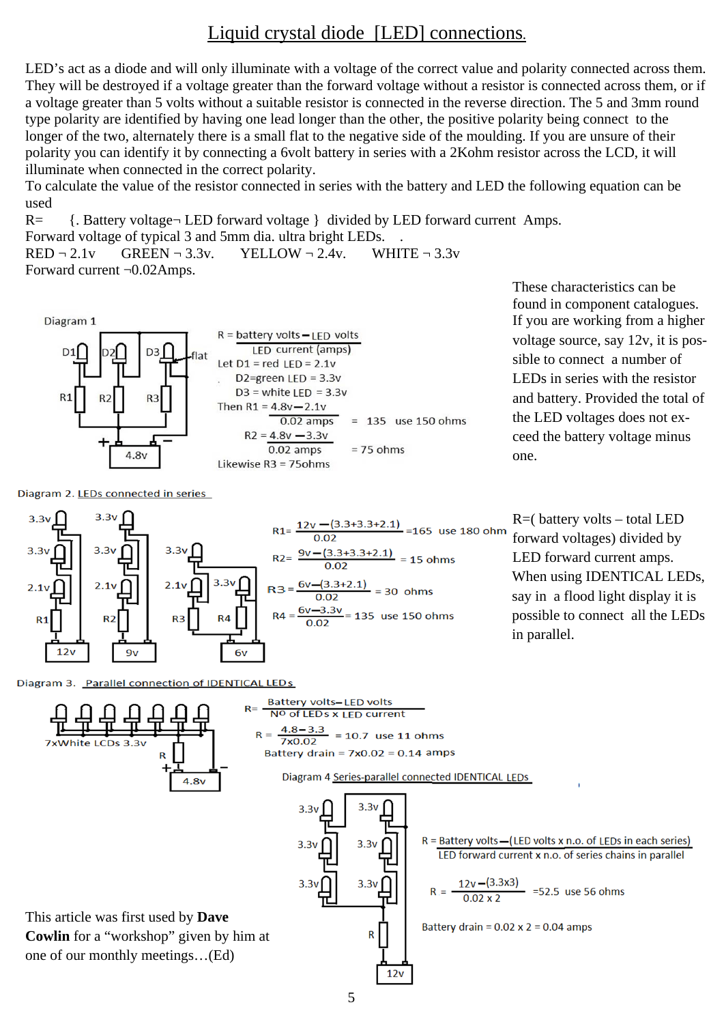## Liquid crystal diode [LED] connections.

LED's act as a diode and will only illuminate with a voltage of the correct value and polarity connected across them. They will be destroyed if a voltage greater than the forward voltage without a resistor is connected across them, or if a voltage greater than 5 volts without a suitable resistor is connected in the reverse direction. The 5 and 3mm round type polarity are identified by having one lead longer than the other, the positive polarity being connect to the longer of the two, alternately there is a small flat to the negative side of the moulding. If you are unsure of their polarity you can identify it by connecting a 6volt battery in series with a 2Kohm resistor across the LCD, it will illuminate when connected in the correct polarity.

To calculate the value of the resistor connected in series with the battery and LED the following equation can be used

R= {. Battery voltage¬ LED forward voltage } divided by LED forward current Amps. Forward voltage of typical 3 and 5mm dia. ultra bright LEDs. .  $RED - 2.1v$  GREEN  $-3.3v$ . YELLOW  $-2.4v$ . WHITE  $-3.3v$ 

Forward current ¬0.02Amps.



Diagram 2. LEDs connected in series



These characteristics can be found in component catalogues. If you are working from a higher voltage source, say 12v, it is possible to connect a number of LEDs in series with the resistor and battery. Provided the total of the LED voltages does not exceed the battery voltage minus one.



**Battery volts-LED volts**  $R = -$ No of LEDs x LED current  $R = \frac{4.8 - 3.3}{7 \times 0.02} = 10.7$  use 11 ohms 7xWhite LCDs 3.3y Battery drain =  $7x0.02 = 0.14$  amps Diagram 4 Series-parallel connected IDENTICAL LEDs  $4.8v$  $3.3v$  $3.3<sub>W</sub>$  $R =$  Battery volts - (LED volts x n.o. of LEDs in each series)  $3.3v$  $3.3v$ LED forward current x n.o. of series chains in parallel R =  $\frac{12v - (3.3x3)}{0.02x2}$  =52.5 use 56 ohms  $3.3v$  $3.3v$ This article was first used by **Dave**  Battery drain =  $0.02 \times 2 = 0.04$  amps **Cowlin** for a "workshop" given by him at  $\mathsf{R}$ one of our monthly meetings…(Ed)  $12v$ 5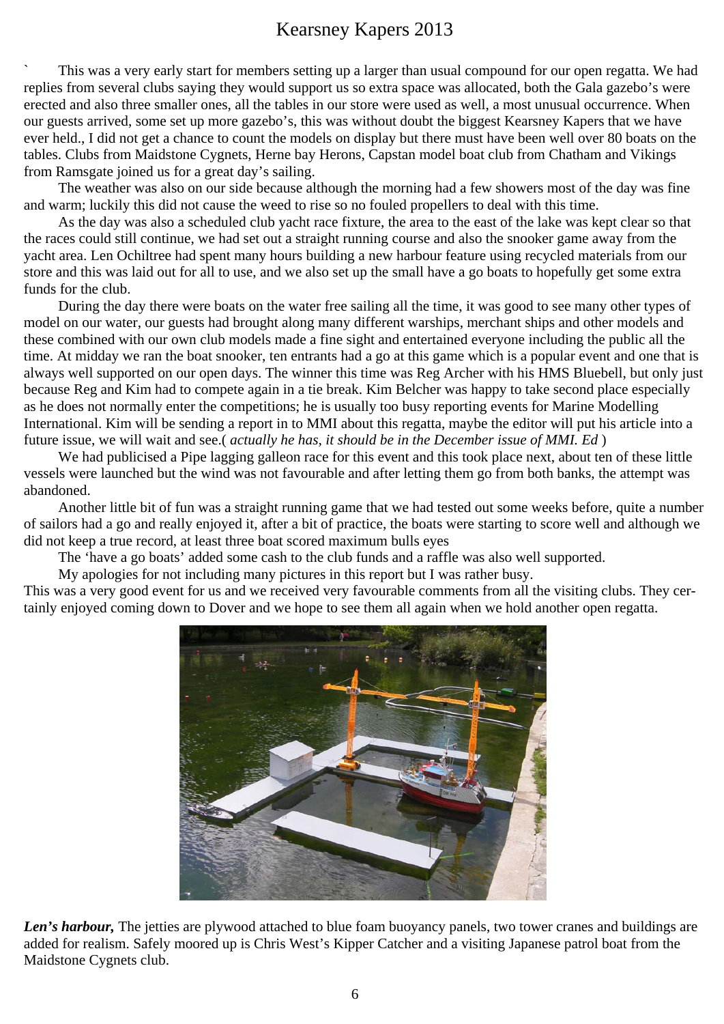# Kearsney Kapers 2013

` This was a very early start for members setting up a larger than usual compound for our open regatta. We had replies from several clubs saying they would support us so extra space was allocated, both the Gala gazebo's were erected and also three smaller ones, all the tables in our store were used as well, a most unusual occurrence. When our guests arrived, some set up more gazebo's, this was without doubt the biggest Kearsney Kapers that we have ever held., I did not get a chance to count the models on display but there must have been well over 80 boats on the tables. Clubs from Maidstone Cygnets, Herne bay Herons, Capstan model boat club from Chatham and Vikings from Ramsgate joined us for a great day's sailing.

 The weather was also on our side because although the morning had a few showers most of the day was fine and warm; luckily this did not cause the weed to rise so no fouled propellers to deal with this time.

 As the day was also a scheduled club yacht race fixture, the area to the east of the lake was kept clear so that the races could still continue, we had set out a straight running course and also the snooker game away from the yacht area. Len Ochiltree had spent many hours building a new harbour feature using recycled materials from our store and this was laid out for all to use, and we also set up the small have a go boats to hopefully get some extra funds for the club.

 During the day there were boats on the water free sailing all the time, it was good to see many other types of model on our water, our guests had brought along many different warships, merchant ships and other models and these combined with our own club models made a fine sight and entertained everyone including the public all the time. At midday we ran the boat snooker, ten entrants had a go at this game which is a popular event and one that is always well supported on our open days. The winner this time was Reg Archer with his HMS Bluebell, but only just because Reg and Kim had to compete again in a tie break. Kim Belcher was happy to take second place especially as he does not normally enter the competitions; he is usually too busy reporting events for Marine Modelling International. Kim will be sending a report in to MMI about this regatta, maybe the editor will put his article into a future issue, we will wait and see.( *actually he has, it should be in the December issue of MMI. Ed* )

We had publicised a Pipe lagging galleon race for this event and this took place next, about ten of these little vessels were launched but the wind was not favourable and after letting them go from both banks, the attempt was abandoned.

 Another little bit of fun was a straight running game that we had tested out some weeks before, quite a number of sailors had a go and really enjoyed it, after a bit of practice, the boats were starting to score well and although we did not keep a true record, at least three boat scored maximum bulls eyes

The 'have a go boats' added some cash to the club funds and a raffle was also well supported.

My apologies for not including many pictures in this report but I was rather busy.

This was a very good event for us and we received very favourable comments from all the visiting clubs. They certainly enjoyed coming down to Dover and we hope to see them all again when we hold another open regatta.



*Len's harbour*, The jetties are plywood attached to blue foam buoyancy panels, two tower cranes and buildings are added for realism. Safely moored up is Chris West's Kipper Catcher and a visiting Japanese patrol boat from the Maidstone Cygnets club.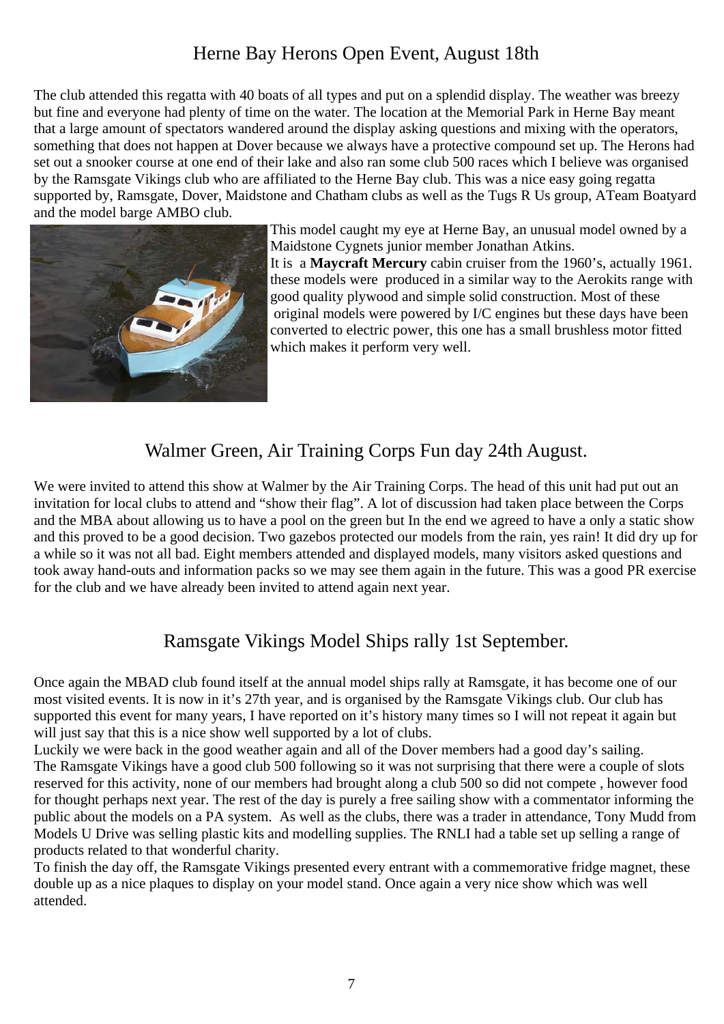# Herne Bay Herons Open Event, August 18th

The club attended this regatta with 40 boats of all types and put on a splendid display. The weather was breezy but fine and everyone had plenty of time on the water. The location at the Memorial Park in Herne Bay meant that a large amount of spectators wandered around the display asking questions and mixing with the operators, something that does not happen at Dover because we always have a protective compound set up. The Herons had set out a snooker course at one end of their lake and also ran some club 500 races which I believe was organised by the Ramsgate Vikings club who are affiliated to the Herne Bay club. This was a nice easy going regatta supported by, Ramsgate, Dover, Maidstone and Chatham clubs as well as the Tugs R Us group, ATeam Boatyard and the model barge AMBO club.



This model caught my eye at Herne Bay, an unusual model owned by a Maidstone Cygnets junior member Jonathan Atkins. It is a **Maycraft Mercury** cabin cruiser from the 1960's, actually 1961. these models were produced in a similar way to the Aerokits range with good quality plywood and simple solid construction. Most of these original models were powered by I/C engines but these days have been converted to electric power, this one has a small brushless motor fitted which makes it perform very well.

## Walmer Green, Air Training Corps Fun day 24th August.

We were invited to attend this show at Walmer by the Air Training Corps. The head of this unit had put out an invitation for local clubs to attend and "show their flag". A lot of discussion had taken place between the Corps and the MBA about allowing us to have a pool on the green but In the end we agreed to have a only a static show and this proved to be a good decision. Two gazebos protected our models from the rain, yes rain! It did dry up for a while so it was not all bad. Eight members attended and displayed models, many visitors asked questions and took away hand-outs and information packs so we may see them again in the future. This was a good PR exercise for the club and we have already been invited to attend again next year.

# Ramsgate Vikings Model Ships rally 1st September.

Once again the MBAD club found itself at the annual model ships rally at Ramsgate, it has become one of our most visited events. It is now in it's 27th year, and is organised by the Ramsgate Vikings club. Our club has supported this event for many years, I have reported on it's history many times so I will not repeat it again but will just say that this is a nice show well supported by a lot of clubs.

Luckily we were back in the good weather again and all of the Dover members had a good day's sailing. The Ramsgate Vikings have a good club 500 following so it was not surprising that there were a couple of slots reserved for this activity, none of our members had brought along a club 500 so did not compete , however food for thought perhaps next year. The rest of the day is purely a free sailing show with a commentator informing the public about the models on a PA system. As well as the clubs, there was a trader in attendance, Tony Mudd from Models U Drive was selling plastic kits and modelling supplies. The RNLI had a table set up selling a range of products related to that wonderful charity.

To finish the day off, the Ramsgate Vikings presented every entrant with a commemorative fridge magnet, these double up as a nice plaques to display on your model stand. Once again a very nice show which was well attended.